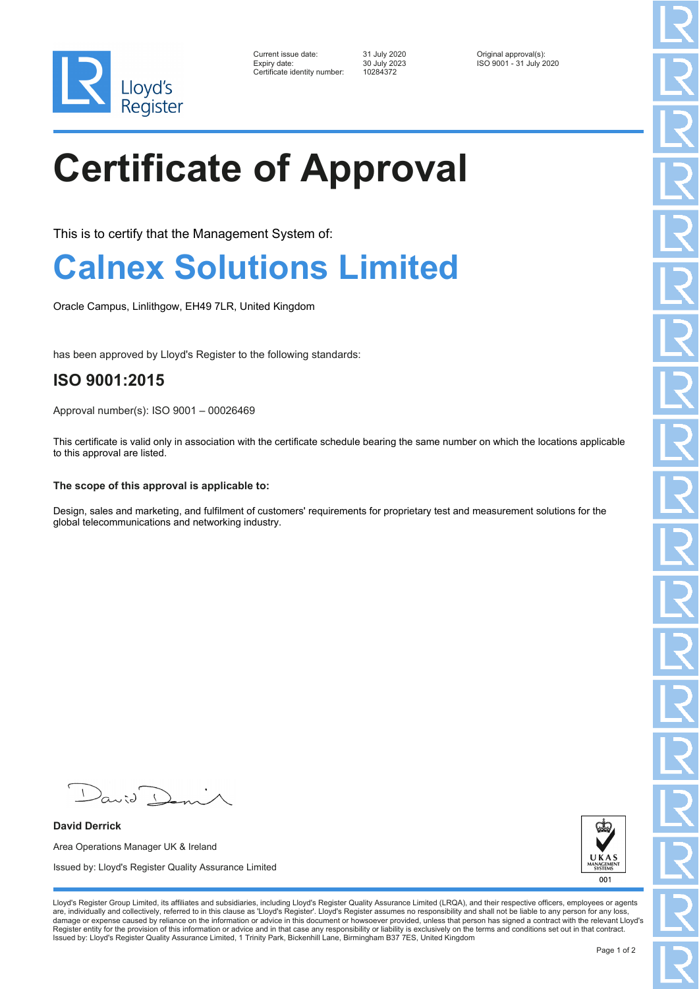

| Current issue date:          | 31 July 2020 | Original approval(s):   |
|------------------------------|--------------|-------------------------|
| Expiry date:                 | 30 July 2023 | ISO 9001 - 31 July 2020 |
| Certificate identity number: | 10284372     |                         |

# **Certificate of Approval**

This is to certify that the Management System of:

### **Calnex Solutions Limited**

Oracle Campus, Linlithgow, EH49 7LR, United Kingdom

has been approved by Lloyd's Register to the following standards:

### **ISO 9001:2015**

Approval number(s): ISO 9001 – 00026469

This certificate is valid only in association with the certificate schedule bearing the same number on which the locations applicable to this approval are listed.

#### **The scope of this approval is applicable to:**

Design, sales and marketing, and fulfilment of customers' requirements for proprietary test and measurement solutions for the global telecommunications and networking industry.

 $\sqrt{2}$ 

**David Derrick** Area Operations Manager UK & Ireland Issued by: Lloyd's Register Quality Assurance Limited



Lloyd's Register Group Limited, its affiliates and subsidiaries, including Lloyd's Register Quality Assurance Limited (LRQA), and their respective officers, employees or agents are, individually and collectively, referred to in this clause as 'Lloyd's Register'. Lloyd's Register assumes no responsibility and shall not be liable to any person for any loss,<br>damage or expense caused by reliance on t Register entity for the provision of this information or advice and in that case any responsibility or liability is exclusively on the terms and conditions set out in that contract. Issued by: Lloyd's Register Quality Assurance Limited, 1 Trinity Park, Bickenhill Lane, Birmingham B37 7ES, United Kingdom